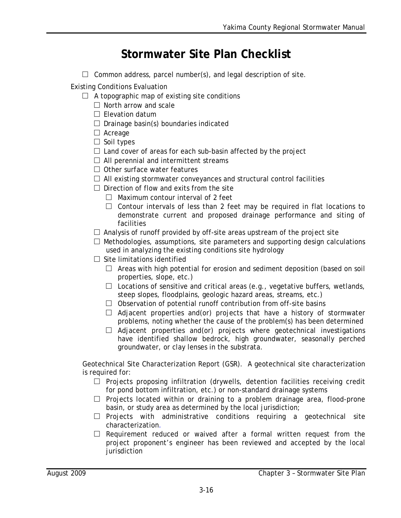## **Stormwater Site Plan Checklist**

 $\Box$  Common address, parcel number(s), and legal description of site.

Existing Conditions Evaluation

- $\Box$  A topographic map of existing site conditions
	- $\Box$  North arrow and scale
	- $\Box$  Flevation datum
	- $\Box$  Drainage basin(s) boundaries indicated
	- □ Acreage
	- $\square$  Soil types
	- $\Box$  Land cover of areas for each sub-basin affected by the project
	- $\Box$  All perennial and intermittent streams
	- $\Box$  Other surface water features
	- $\Box$  All existing stormwater conveyances and structural control facilities
	- $\Box$  Direction of flow and exits from the site
		- $\Box$  Maximum contour interval of 2 feet
		- $\Box$  Contour intervals of less than 2 feet may be required in flat locations to demonstrate current and proposed drainage performance and siting of facilities
	- $\Box$  Analysis of runoff provided by off-site areas upstream of the project site
	- $\Box$  Methodologies, assumptions, site parameters and supporting design calculations used in analyzing the existing conditions site hydrology
	- $\Box$  Site limitations identified
		- $\Box$  Areas with high potential for erosion and sediment deposition (based on soil properties, slope, etc.)
		- $\Box$  Locations of sensitive and critical areas (e.g., vegetative buffers, wetlands, steep slopes, floodplains, geologic hazard areas, streams, etc.)
		- $\Box$  Observation of potential runoff contribution from off-site basins
		- $\Box$  Adjacent properties and(or) projects that have a history of stormwater problems, noting whether the cause of the problem(s) has been determined
		- $\Box$  Adjacent properties and(or) projects where geotechnical investigations have identified shallow bedrock, high groundwater, seasonally perched groundwater, or clay lenses in the substrata.

Geotechnical Site Characterization Report (GSR). A geotechnical site characterization is required for:

- $\Box$  Projects proposing infiltration (drywells, detention facilities receiving credit for pond bottom infiltration, etc.) or non-standard drainage systems
- $\Box$  Projects located within or draining to a problem drainage area, flood-prone basin, or study area as determined by the local jurisdiction;
- $\Box$  Projects with administrative conditions requiring a geotechnical site characterization*.*
- $\Box$  Requirement reduced or waived after a formal written request from the project proponent's engineer has been reviewed and accepted by the local jurisdiction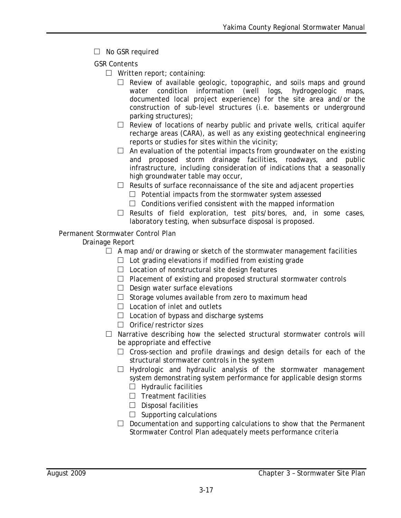- □ No GSR required
- GSR Contents
	- $\Box$  Written report; containing:
		- $\Box$  Review of available geologic, topographic, and soils maps and ground water condition information (well logs, hydrogeologic maps, documented local project experience) for the site area and/or the construction of sub-level structures (i.e. basements or underground parking structures);
		- $\Box$  Review of locations of nearby public and private wells, critical aquifer recharge areas (CARA), as well as any existing geotechnical engineering reports or studies for sites within the vicinity;
		- $\Box$  An evaluation of the potential impacts from groundwater on the existing and proposed storm drainage facilities, roadways, and public infrastructure, including consideration of indications that a seasonally high groundwater table may occur,
		- $\Box$  Results of surface reconnaissance of the site and adjacent properties
			- $\Box$  Potential impacts from the stormwater system assessed
			- $\Box$  Conditions verified consistent with the mapped information
		- $\Box$  Results of field exploration, test pits/bores, and, in some cases, laboratory testing, when subsurface disposal is proposed.

## Permanent Stormwater Control Plan

## Drainage Report

- $\Box$  A map and/or drawing or sketch of the stormwater management facilities
	- $\Box$  Lot grading elevations if modified from existing grade
	- $\Box$  Location of nonstructural site design features
	- $\Box$  Placement of existing and proposed structural stormwater controls
	- $\Box$  Design water surface elevations
	- $\Box$  Storage volumes available from zero to maximum head
	- $\Box$  Location of inlet and outlets
	- $\Box$  Location of bypass and discharge systems
	- □ Orifice/restrictor sizes
- $\Box$  Narrative describing how the selected structural stormwater controls will be appropriate and effective
	- $\Box$  Cross-section and profile drawings and design details for each of the structural stormwater controls in the system
	- $\Box$  Hydrologic and hydraulic analysis of the stormwater management system demonstrating system performance for applicable design storms  $\Box$  Hydraulic facilities
		-
		- $\Box$  Treatment facilities
		- $\Box$  Disposal facilities
		- $\Box$  Supporting calculations
	- $\Box$  Documentation and supporting calculations to show that the Permanent Stormwater Control Plan adequately meets performance criteria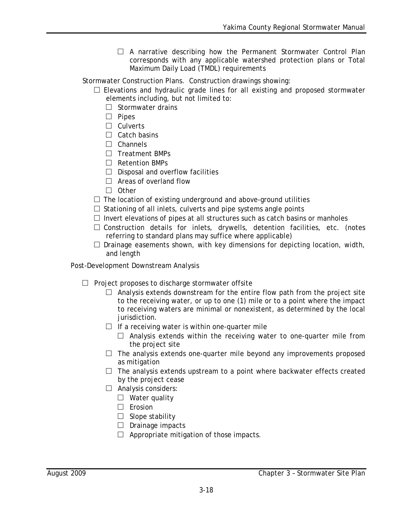$\Box$  A narrative describing how the Permanent Stormwater Control Plan corresponds with any applicable watershed protection plans or Total Maximum Daily Load (TMDL) requirements

Stormwater Construction Plans. Construction drawings showing:

- $\square$  Elevations and hydraulic grade lines for all existing and proposed stormwater elements including, but not limited to:
	- $\Box$  Stormwater drains
	- □ Pipes
	- □ Culverts
	- $\Box$  Catch basins
	- □ Channels
	- □ Treatment BMPs
	- □ Retention BMPs
	- $\Box$  Disposal and overflow facilities
	- $\Box$  Areas of overland flow
	- □ Other
- $\Box$  The location of existing underground and above-ground utilities
- $\Box$  Stationing of all inlets, culverts and pipe systems angle points
- $\Box$  Invert elevations of pipes at all structures such as catch basins or manholes
- $\square$  Construction details for inlets, drywells, detention facilities, etc. (notes referring to standard plans may suffice where applicable)
- $\square$  Drainage easements shown, with key dimensions for depicting location, width, and length

Post-Development Downstream Analysis

- $\Box$  Project proposes to discharge stormwater offsite
	- $\Box$  Analysis extends downstream for the entire flow path from the project site to the receiving water, or up to one (1) mile or to a point where the impact to receiving waters are minimal or nonexistent, as determined by the local jurisdiction.
	- $\Box$  If a receiving water is within one-quarter mile
		- $\Box$  Analysis extends within the receiving water to one-quarter mile from the project site
	- $\Box$  The analysis extends one-quarter mile beyond any improvements proposed as mitigation
	- $\Box$  The analysis extends upstream to a point where backwater effects created by the project cease
	- □ Analysis considers:
		- $\square$  Water quality
		- □ Erosion
		- $\Box$  Slope stability
		- $\Box$  Drainage impacts
		- $\Box$  Appropriate mitigation of those impacts.